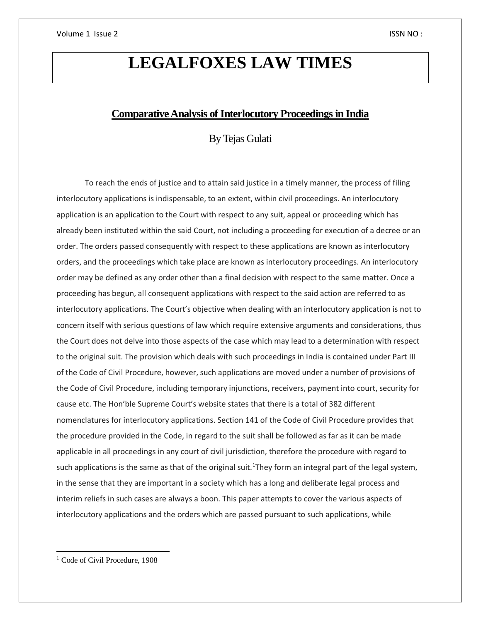# **LEGALFOXES LAW TIMES**

## **Comparative Analysis of Interlocutory Proceedings in India**

## By Tejas Gulati

To reach the ends of justice and to attain said justice in a timely manner, the process of filing interlocutory applications is indispensable, to an extent, within civil proceedings. An interlocutory application is an application to the Court with respect to any suit, appeal or proceeding which has already been instituted within the said Court, not including a proceeding for execution of a decree or an order. The orders passed consequently with respect to these applications are known as interlocutory orders, and the proceedings which take place are known as interlocutory proceedings. An interlocutory order may be defined as any order other than a final decision with respect to the same matter. Once a proceeding has begun, all consequent applications with respect to the said action are referred to as interlocutory applications. The Court's objective when dealing with an interlocutory application is not to concern itself with serious questions of law which require extensive arguments and considerations, thus the Court does not delve into those aspects of the case which may lead to a determination with respect to the original suit. The provision which deals with such proceedings in India is contained under Part III of the Code of Civil Procedure, however, such applications are moved under a number of provisions of the Code of Civil Procedure, including temporary injunctions, receivers, payment into court, security for cause etc. The Hon'ble Supreme Court's website states that there is a total of 382 different nomenclatures for interlocutory applications. Section 141 of the Code of Civil Procedure provides that the procedure provided in the Code, in regard to the suit shall be followed as far as it can be made applicable in all proceedings in any court of civil jurisdiction, therefore the procedure with regard to such applications is the same as that of the original suit.<sup>1</sup>They form an integral part of the legal system, in the sense that they are important in a society which has a long and deliberate legal process and interim reliefs in such cases are always a boon. This paper attempts to cover the various aspects of interlocutory applications and the orders which are passed pursuant to such applications, while

 $\overline{a}$ <sup>1</sup> Code of Civil Procedure, 1908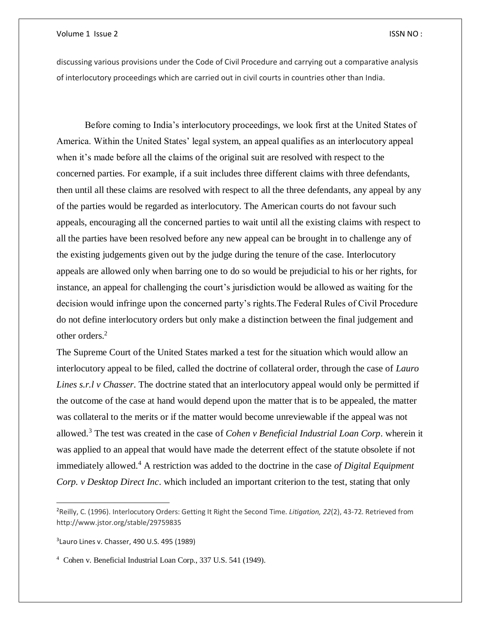discussing various provisions under the Code of Civil Procedure and carrying out a comparative analysis of interlocutory proceedings which are carried out in civil courts in countries other than India.

Before coming to India's interlocutory proceedings, we look first at the United States of America. Within the United States' legal system, an appeal qualifies as an interlocutory appeal when it's made before all the claims of the original suit are resolved with respect to the concerned parties. For example, if a suit includes three different claims with three defendants, then until all these claims are resolved with respect to all the three defendants, any appeal by any of the parties would be regarded as interlocutory. The American courts do not favour such appeals, encouraging all the concerned parties to wait until all the existing claims with respect to all the parties have been resolved before any new appeal can be brought in to challenge any of the existing judgements given out by the judge during the tenure of the case. Interlocutory appeals are allowed only when barring one to do so would be prejudicial to his or her rights, for instance, an appeal for challenging the court's jurisdiction would be allowed as waiting for the decision would infringe upon the concerned party's rights.The Federal Rules of Civil Procedure do not define interlocutory orders but only make a distinction between the final judgement and other orders.<sup>2</sup>

The Supreme Court of the United States marked a test for the situation which would allow an interlocutory appeal to be filed, called the doctrine of collateral order, through the case of *Lauro Lines s.r.l v Chasser*. The doctrine stated that an interlocutory appeal would only be permitted if the outcome of the case at hand would depend upon the matter that is to be appealed, the matter was collateral to the merits or if the matter would become unreviewable if the appeal was not allowed.<sup>3</sup> The test was created in the case of *Cohen v Beneficial Industrial Loan Corp*. wherein it was applied to an appeal that would have made the deterrent effect of the statute obsolete if not immediately allowed.<sup>4</sup> A restriction was added to the doctrine in the case *of Digital Equipment Corp. v Desktop Direct Inc*. which included an important criterion to the test, stating that only

 $\overline{\phantom{a}}$ 

<sup>2</sup>Reilly, C. (1996). Interlocutory Orders: Getting It Right the Second Time. *Litigation, 22*(2), 43-72. Retrieved from http://www.jstor.org/stable/29759835

<sup>3</sup> Lauro Lines v. Chasser, 490 U.S. 495 (1989)

<sup>4</sup> Cohen v. Beneficial Industrial Loan Corp., 337 U.S. 541 (1949).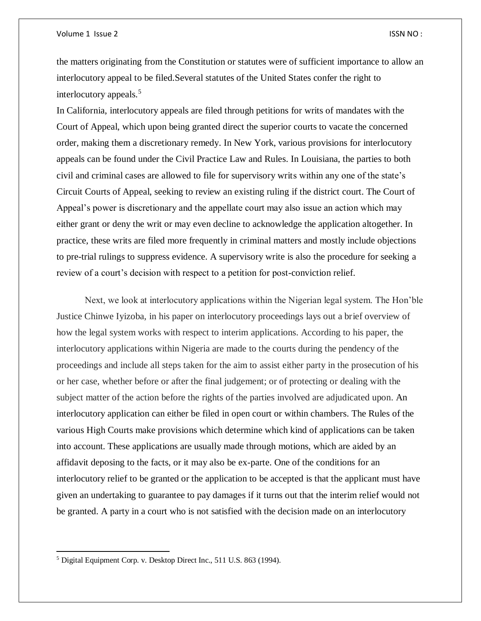the matters originating from the Constitution or statutes were of sufficient importance to allow an interlocutory appeal to be filed.Several statutes of the United States confer the right to interlocutory appeals.<sup>5</sup>

In California, interlocutory appeals are filed through petitions for writs of mandates with the Court of Appeal, which upon being granted direct the superior courts to vacate the concerned order, making them a discretionary remedy. In New York, various provisions for interlocutory appeals can be found under the Civil Practice Law and Rules. In Louisiana, the parties to both civil and criminal cases are allowed to file for supervisory writs within any one of the state's Circuit Courts of Appeal, seeking to review an existing ruling if the district court. The Court of Appeal's power is discretionary and the appellate court may also issue an action which may either grant or deny the writ or may even decline to acknowledge the application altogether. In practice, these writs are filed more frequently in criminal matters and mostly include objections to pre-trial rulings to suppress evidence. A supervisory write is also the procedure for seeking a review of a court's decision with respect to a petition for post-conviction relief.

Next, we look at interlocutory applications within the Nigerian legal system. The Hon'ble Justice Chinwe Iyizoba, in his paper on interlocutory proceedings lays out a brief overview of how the legal system works with respect to interim applications. According to his paper, the interlocutory applications within Nigeria are made to the courts during the pendency of the proceedings and include all steps taken for the aim to assist either party in the prosecution of his or her case, whether before or after the final judgement; or of protecting or dealing with the subject matter of the action before the rights of the parties involved are adjudicated upon. An interlocutory application can either be filed in open court or within chambers. The Rules of the various High Courts make provisions which determine which kind of applications can be taken into account. These applications are usually made through motions, which are aided by an affidavit deposing to the facts, or it may also be ex-parte. One of the conditions for an interlocutory relief to be granted or the application to be accepted is that the applicant must have given an undertaking to guarantee to pay damages if it turns out that the interim relief would not be granted. A party in a court who is not satisfied with the decision made on an interlocutory

 $\overline{a}$ 

<sup>5</sup> Digital Equipment Corp. v. Desktop Direct Inc., 511 U.S. 863 (1994).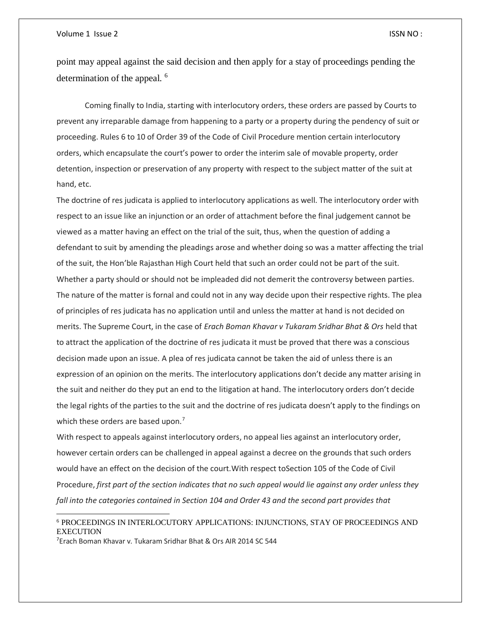point may appeal against the said decision and then apply for a stay of proceedings pending the determination of the appeal.<sup>6</sup>

Coming finally to India, starting with interlocutory orders, these orders are passed by Courts to prevent any irreparable damage from happening to a party or a property during the pendency of suit or proceeding. Rules 6 to 10 of Order 39 of the Code of Civil Procedure mention certain interlocutory orders, which encapsulate the court's power to order the interim sale of movable property, order detention, inspection or preservation of any property with respect to the subject matter of the suit at hand, etc.

The doctrine of res judicata is applied to interlocutory applications as well. The interlocutory order with respect to an issue like an injunction or an order of attachment before the final judgement cannot be viewed as a matter having an effect on the trial of the suit, thus, when the question of adding a defendant to suit by amending the pleadings arose and whether doing so was a matter affecting the trial of the suit, the Hon'ble Rajasthan High Court held that such an order could not be part of the suit. Whether a party should or should not be impleaded did not demerit the controversy between parties. The nature of the matter is fornal and could not in any way decide upon their respective rights. The plea of principles of res judicata has no application until and unless the matter at hand is not decided on merits. The Supreme Court, in the case of *Erach Boman Khavar v Tukaram Sridhar Bhat & Ors* held that to attract the application of the doctrine of res judicata it must be proved that there was a conscious decision made upon an issue. A plea of res judicata cannot be taken the aid of unless there is an expression of an opinion on the merits. The interlocutory applications don't decide any matter arising in the suit and neither do they put an end to the litigation at hand. The interlocutory orders don't decide the legal rights of the parties to the suit and the doctrine of res judicata doesn't apply to the findings on which these orders are based upon.<sup>7</sup>

With respect to appeals against interlocutory orders, no appeal lies against an interlocutory order, however certain orders can be challenged in appeal against a decree on the grounds that such orders would have an effect on the decision of the court.With respect toSection 105 of the Code of Civil Procedure, *first part of the section indicates that no such appeal would lie against any order unless they*  fall into the categories contained in Section 104 and Order 43 and the second part provides that

## <sup>6</sup> PROCEEDINGS IN INTERLOCUTORY APPLICATIONS: INJUNCTIONS, STAY OF PROCEEDINGS AND EXECUTION

7Erach Boman Khavar v. Tukaram Sridhar Bhat & Ors AIR 2014 SC 544

 $\overline{a}$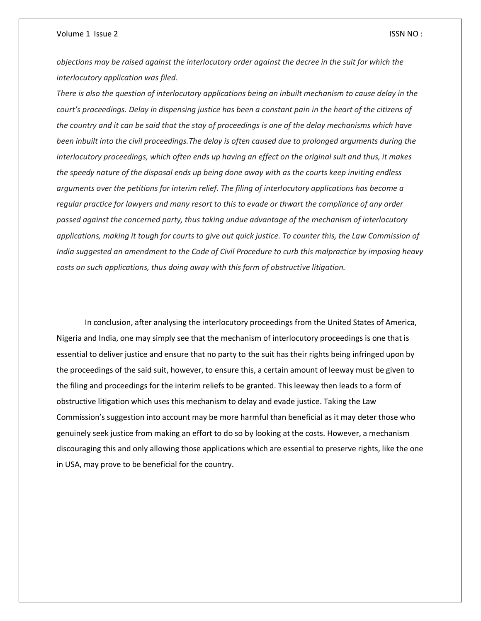*objections may be raised against the interlocutory order against the decree in the suit for which the interlocutory application was filed.*

*There is also the question of interlocutory applications being an inbuilt mechanism to cause delay in the court's proceedings. Delay in dispensing justice has been a constant pain in the heart of the citizens of the country and it can be said that the stay of proceedings is one of the delay mechanisms which have been inbuilt into the civil proceedings.The delay is often caused due to prolonged arguments during the interlocutory proceedings, which often ends up having an effect on the original suit and thus, it makes the speedy nature of the disposal ends up being done away with as the courts keep inviting endless arguments over the petitions for interim relief. The filing of interlocutory applications has become a regular practice for lawyers and many resort to this to evade or thwart the compliance of any order passed against the concerned party, thus taking undue advantage of the mechanism of interlocutory applications, making it tough for courts to give out quick justice. To counter this, the Law Commission of India suggested an amendment to the Code of Civil Procedure to curb this malpractice by imposing heavy costs on such applications, thus doing away with this form of obstructive litigation.*

In conclusion, after analysing the interlocutory proceedings from the United States of America, Nigeria and India, one may simply see that the mechanism of interlocutory proceedings is one that is essential to deliver justice and ensure that no party to the suit has their rights being infringed upon by the proceedings of the said suit, however, to ensure this, a certain amount of leeway must be given to the filing and proceedings for the interim reliefs to be granted. This leeway then leads to a form of obstructive litigation which uses this mechanism to delay and evade justice. Taking the Law Commission's suggestion into account may be more harmful than beneficial as it may deter those who genuinely seek justice from making an effort to do so by looking at the costs. However, a mechanism discouraging this and only allowing those applications which are essential to preserve rights, like the one in USA, may prove to be beneficial for the country.